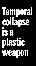# **Temporal collapse is a plastic weapon**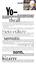#### **NICK SHINN**



PHOTO: WILLIAM CICCOCIOPPO

2 **You<br>Analyzine, taken by its m**<br>**Youth Source Conduct Service Service Conduct Service Conduct Service Conduct Service Conduct Service Conduct S time travel. Dropping out of the present into an old magazine, taken by its musty smell, letterpress bite, fragility of paper, and gone. Oh so vivid, sucked into the strangeness of ancient thought, astounded in the**

1

astounded in the<br>draftsmanship of the past masters extemporizing, defining multi-dimensional reality in the trace of a black pen stroke on a flat white surface. Piqued to dizzying peaks of consciousness, the moment grabs the past and pulls it right into the present, simultaneously collapsing and expanding time into eternal now.

Yo—bullet time.

The *musée sans murs* is the *musée sur pages* and the pages are in mass market magazines. We once were they, the people who fleshed out consumer culture, working stiffs laboring in the

### meta-culture of ad agencies, art studios, type houses, film shops, photo studios, press works, type foundries, and publishing, packaging, direct mar-3

keting and sales promotion companies—and why should anyone be forgotten, ever, anywhere?

The end of history, it has been said, and written, and thought, and discussed, exhausting language. Triumph

4

of the<br> **Semion Sepanor Sepanor Containers**<br>
claiming the turf for his own. Uh-huh. But it always takes a while for the philosopher to figure things out, after the fact, asserting that there is no significance until it is attached by the intellectual, the moon disappearing as he turns away. 5

out, after the fact, asserting that there is no significance until it is attached by the intellectual, the<br>moon disappearing as he turns away.<br>"It was not until the early twentieth century that MMM and the myth we live wit upset the accepted chronology, *realism > modernism > post-modernism,* swiped from the art world. As if the elite scene of gallery objects functions as the R&D department of the mass<br>media, when the opposite is the **norm, and the set of the same of the same of the same of the same of the same of the same of the** 6

for inspiration and relevance. The pioneers of the sans serif were not  $\blacktriangledown$  Edward Johnson and Paul Renner, but its inventors, Vincent Figgins and William Caslon IV, who beat them to the punch by a century. Yet amid the

7

I menagerie of early 19th century type specimens, the very first sans serif is oft considered an inadvertent oddity, its invention dismissed by Philip B. Meggs, in *A History of Graphic Design,* as Caslon snipping the serifs off an Egyptian. So this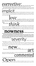#### $\mathbf{TPCCLIVE:}$ hands who change the world. Those who make it with their ideas change the way it is seen. 8

The meaning embedded in William Caslon IV's 1816 sans is quite clear; it was, after all, created during a time of revolutionary technological, economic, social and political upheaval. That it is an

9

**is a confirms the status, the explication of theory lagging behind events. As Rilke explained,** "Works of art are of an infinite solitariness, and nothing is less likely to bring us near to them

than criticism. Only<br>them." Indeed, there *is* something solitary and pathetic about the early sans, with its naive, awkward<br>them, and can be just toward in the formula of the solitation of the solitation of social illustr features, when seen in its usual role of contrast face, pitted against vast tracts of scintillating Scotch Roman.

10

11

Roman.<br>
What did Bodoni **for all format point in the may** or may not have been deluding himself; telling the truth or else putting on a show for his fans. *At the time the vogue was for the ancient world, yet it's now widely accepted, after Foucault, that it was the birth of the modern era. The similarities between neo-classicism and modernism are striking.*

*The*

## **now the modern era.** The simularities between neo-classicism and modernism are striking.<br> **of Bodoni's type penetrates the**<br> **of Bodoni's type penetrates the** 12

**far distances of past and future, illuminating the vista of history.**

**The Victorian (Scotch) Romans were termed** *Modern Roman* **in the early 20th century, to distinguish them from Old Style Roman; but they soon lost popularity, and the Bodoni revivals came to be the main examples of this class of type. Then, as the precepts of modern art spread (in particu-**13



The defining terms only go so far. Under the surface there's the communal ideal, the spirit of the Didone genre; we all know what it means, which is why it's possible to recognize a badly drawn Bodoni. And type designers riff on the archetype—prompted periodically by the adjustments required by 14

Ultimately, the motives of a single artist count for very little. When not just the

Ultimately, the motives of a single artist count for very little. When not just the<br>press, but the American mass media as a whole were psychoanalyzing Jackson Pollock and his action 16

# paintings in the '50s, Robert Motherwell<br>Plastic automatism is very little a question of the unconscious. It is much more a plastic weapon with which to create new forms."

15

OCC to serendipity, the designer's urge to invent is, to a degree, indiscriminate, seizing whatever weapon looks most promising (and a Big Fucking Gun makes a lot of 17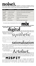**noise). The surface of \sum\_{n=1}^{\infty} \sum\_{n=1}^{\infty} \sum\_{d=1}^{\infty} \sum\_{d=1}^{\infty} \sum\_{d=1}^{\infty} \sum\_{d=1}^{\infty} \sum\_{d=1}^{\infty} \sum\_{d=1}^{\infty} \sum\_{d=1}^{\infty} \sum\_{d=1}^{\infty} \sum\_{d=1}^{\infty} \sum\_{d=1}^{\infty} \sum\_{d=1}^{\infty} \sum\_{d=1}^{\infty} \sum\_{d=1}^{\infty} \sum\_{d=1}^{\infty} \sum\_{d=** 18

**in the armchair of history, centuries collide and the phenomenon emits typefaces.**

| <b>TYPEFACE</b>   | <b>CONTEMPORARY IDEA</b>      | <b>HISTORICAL IDEA</b>                                  |
|-------------------|-------------------------------|---------------------------------------------------------|
| Fontesque         | <b>Grunge, Deconstruction</b> | Letterpress artefacts, Goudy's impeccable imperfections |
| <b>Beaufort</b>   | PostScript sharpness          | Times Roman, Early twentieth century lettering          |
| Oneleigh          | Parallel universe             | 1920s historicism                                       |
| Merlín            | Goth culture, Distress        | Humanist/textura hybrid, Gothic revival                 |
| <b>Alphaville</b> | Techno, vector tools          | Godard's movie, Crouwel's "Stedelijk"                   |
| Richler           | <b>DIN</b> metrics            | Palatino                                                |
| Artefact          | Deconstruction                | Drawn from scratch, Victorian details                   |



20

22

21

**There is much in**<br>**There is much in**<br>**The sense of being artificial, and of being complex, built up from**<br>**The sense of being artificial, and of being complex, built up from obviously synthetic, in both the sense of being artificial, and of being complex, built up from combinations of simpler elements.**

20

**Morphica is a methodically**<br>
merging several understated thematic devices. It has a techno skeleton, yet it's not reductively modernist. It mixes sans and serif, yet there is no pointed, cut and paste, Post-modern dialectic (as in Dead History, Fudoni, or Missive). It has exotic letter forms, yet it's not anarchic or anaesthetically process-driven, but systematically harmonic. The intention is sweetness, and the technique is precise and fanciful.

and fanciful.<br>Up against the printed fact, **rational**ization alization is a poor kickstart for creative concepts, leave that to happy coincidence. There are no accidents. Circumstance holds the strings, and this was certainly true for Bodoni Egyptian, a face which represents the convergence of many factors.

In the first place, I had some very large, exquisite alphabet samples of Headliners Bodoni, from the 1970s, which I had acquired with the intent of producing—I've no idea what, because the results led nowhere. These were my primary reference.

Were my primary reference.<br>
In 1997 I had designed a typeface,<br>
a few weights (an italic being impossible), and I was looking for ways to conceptually **bundle it with some other faces and thus hopefully interest FontShop International in publishing what was otherwise outside the category in which they had me placed — and not particularly desirable, being a rather** a tew weights (all hand being impossible), and I was looking for ways to conceptually builde it with<br>some other faces and thus hopefully interest FontShop International in publishing what was otherwise<br>outside the category  $23$ 

BOTH CONSTRUCTED and deconstructed at the same time, the sort of typeface that doesn't fitneatly into any established genres. In other words, it was a face waiting for interpretation. I hit upon the idea of pairing Artefact with Walburn,